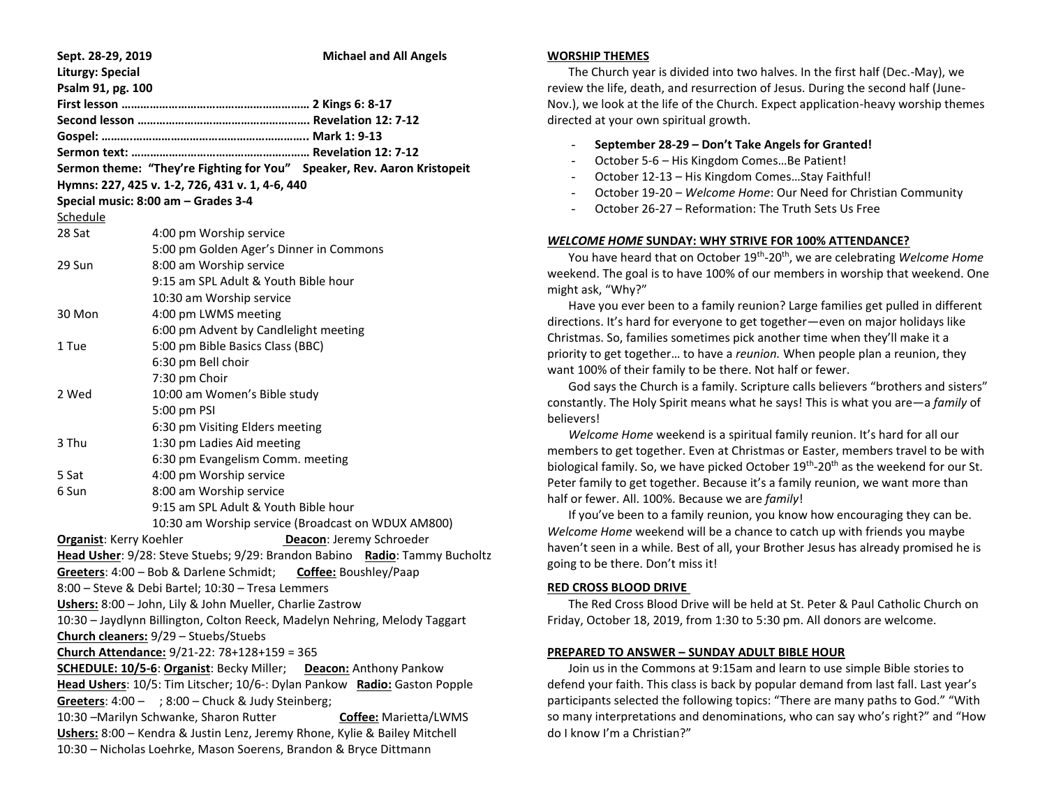| Sept. 28-29, 2019                                                                                                                               | <b>Michael and All Angels</b>                                           |
|-------------------------------------------------------------------------------------------------------------------------------------------------|-------------------------------------------------------------------------|
| <b>Liturgy: Special</b>                                                                                                                         |                                                                         |
| Psalm 91, pg. 100                                                                                                                               |                                                                         |
|                                                                                                                                                 |                                                                         |
|                                                                                                                                                 |                                                                         |
|                                                                                                                                                 |                                                                         |
|                                                                                                                                                 |                                                                         |
|                                                                                                                                                 | Sermon theme: "They're Fighting for You" Speaker, Rev. Aaron Kristopeit |
| Hymns: 227, 425 v. 1-2, 726, 431 v. 1, 4-6, 440                                                                                                 |                                                                         |
|                                                                                                                                                 | Special music: 8:00 am - Grades 3-4                                     |
| Schedule                                                                                                                                        |                                                                         |
| 28 Sat                                                                                                                                          | 4:00 pm Worship service                                                 |
|                                                                                                                                                 | 5:00 pm Golden Ager's Dinner in Commons                                 |
| 29 Sun                                                                                                                                          | 8:00 am Worship service                                                 |
|                                                                                                                                                 | 9:15 am SPL Adult & Youth Bible hour                                    |
|                                                                                                                                                 | 10:30 am Worship service                                                |
| 30 Mon                                                                                                                                          | 4:00 pm LWMS meeting                                                    |
|                                                                                                                                                 | 6:00 pm Advent by Candlelight meeting                                   |
| 1 Tue                                                                                                                                           | 5:00 pm Bible Basics Class (BBC)                                        |
|                                                                                                                                                 | 6:30 pm Bell choir                                                      |
|                                                                                                                                                 | 7:30 pm Choir                                                           |
| 2 Wed                                                                                                                                           | 10:00 am Women's Bible study                                            |
|                                                                                                                                                 | 5:00 pm PSI                                                             |
|                                                                                                                                                 | 6:30 pm Visiting Elders meeting                                         |
| 3 Thu                                                                                                                                           | 1:30 pm Ladies Aid meeting                                              |
|                                                                                                                                                 | 6:30 pm Evangelism Comm. meeting                                        |
| 5 Sat                                                                                                                                           | 4:00 pm Worship service                                                 |
| 6 Sun                                                                                                                                           | 8:00 am Worship service                                                 |
|                                                                                                                                                 | 9:15 am SPL Adult & Youth Bible hour                                    |
|                                                                                                                                                 | 10:30 am Worship service (Broadcast on WDUX AM800)                      |
| <b>Organist:</b> Kerry Koehler                                                                                                                  | Deacon: Jeremy Schroeder                                                |
| Head Usher: 9/28: Steve Stuebs; 9/29: Brandon Babino Radio: Tammy Bucholtz                                                                      |                                                                         |
| Greeters: 4:00 - Bob & Darlene Schmidt; Coffee: Boushley/Paap                                                                                   |                                                                         |
| 8:00 - Steve & Debi Bartel; 10:30 - Tresa Lemmers                                                                                               |                                                                         |
| Ushers: 8:00 - John, Lily & John Mueller, Charlie Zastrow                                                                                       |                                                                         |
| 10:30 - Jaydlynn Billington, Colton Reeck, Madelyn Nehring, Melody Taggart                                                                      |                                                                         |
| Church cleaners: 9/29 - Stuebs/Stuebs                                                                                                           |                                                                         |
| Church Attendance: 9/21-22: 78+128+159 = 365                                                                                                    |                                                                         |
| <b>SCHEDULE: 10/5-6: Organist: Becky Miller;</b><br><b>Deacon:</b> Anthony Pankow                                                               |                                                                         |
| Head Ushers: 10/5: Tim Litscher; 10/6-: Dylan Pankow Radio: Gaston Popple                                                                       |                                                                         |
| Greeters: $4:00 - 3:00 -$ Chuck & Judy Steinberg;                                                                                               |                                                                         |
| 10:30 -Marilyn Schwanke, Sharon Rutter<br>Coffee: Marietta/LWMS                                                                                 |                                                                         |
| Ushers: 8:00 - Kendra & Justin Lenz, Jeremy Rhone, Kylie & Bailey Mitchell<br>10:30 - Nicholas Loehrke, Mason Soerens, Brandon & Bryce Dittmann |                                                                         |

#### **WORSHIP THEMES**

 The Church year is divided into two halves. In the first half (Dec.-May), we review the life, death, and resurrection of Jesus. During the second half (June-Nov.), we look at the life of the Church. Expect application-heavy worship themes directed at your own spiritual growth.

### - **September 28-29 – Don't Take Angels for Granted!**

- October 5-6 His Kingdom Comes…Be Patient!
- October 12-13 His Kingdom Comes…Stay Faithful!
- October 19-20 *Welcome Home*: Our Need for Christian Community
- October 26-27 Reformation: The Truth Sets Us Free

# *WELCOME HOME* **SUNDAY: WHY STRIVE FOR 100% ATTENDANCE?**

You have heard that on October 19<sup>th</sup>-20<sup>th</sup>, we are celebrating *Welcome Home* weekend. The goal is to have 100% of our members in worship that weekend. One might ask, "Why?"

 Have you ever been to a family reunion? Large families get pulled in different directions. It's hard for everyone to get together—even on major holidays like Christmas. So, families sometimes pick another time when they'll make it a priority to get together… to have a *reunion.* When people plan a reunion, they want 100% of their family to be there. Not half or fewer.

 God says the Church is a family. Scripture calls believers "brothers and sisters" constantly. The Holy Spirit means what he says! This is what you are—a *family* of believers!

 *Welcome Home* weekend is a spiritual family reunion. It's hard for all our members to get together. Even at Christmas or Easter, members travel to be with biological family. So, we have picked October 19<sup>th</sup>-20<sup>th</sup> as the weekend for our St. Peter family to get together. Because it's a family reunion, we want more than half or fewer. All. 100%. Because we are *family*!

 If you've been to a family reunion, you know how encouraging they can be. *Welcome Home* weekend will be a chance to catch up with friends you maybe haven't seen in a while. Best of all, your Brother Jesus has already promised he is going to be there. Don't miss it!

# **RED CROSS BLOOD DRIVE**

 The Red Cross Blood Drive will be held at St. Peter & Paul Catholic Church on Friday, October 18, 2019, from 1:30 to 5:30 pm. All donors are welcome.

# **PREPARED TO ANSWER – SUNDAY ADULT BIBLE HOUR**

 Join us in the Commons at 9:15am and learn to use simple Bible stories to defend your faith. This class is back by popular demand from last fall. Last year's participants selected the following topics: "There are many paths to God." "With so many interpretations and denominations, who can say who's right?" and "How do I know I'm a Christian?"